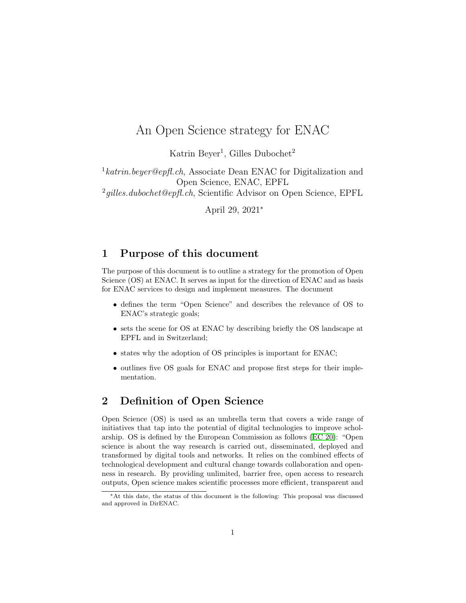## An Open Science strategy for ENAC

Katrin Beyer<sup>1</sup>, Gilles Dubochet<sup>2</sup>

<sup>1</sup>katrin.beyer@epfl.ch, Associate Dean ENAC for Digitalization and Open Science, ENAC, EPFL  $2$ gilles.dubochet@epfl.ch, Scientific Advisor on Open Science, EPFL

April 29, 2021<sup>∗</sup>

## 1 Purpose of this document

The purpose of this document is to outline a strategy for the promotion of Open Science (OS) at ENAC. It serves as input for the direction of ENAC and as basis for ENAC services to design and implement measures. The document

- defines the term "Open Science" and describes the relevance of OS to ENAC's strategic goals;
- sets the scene for OS at ENAC by describing briefly the OS landscape at EPFL and in Switzerland;
- states why the adoption of OS principles is important for ENAC;
- outlines five OS goals for ENAC and propose first steps for their implementation.

## <span id="page-0-0"></span>2 Definition of Open Science

Open Science (OS) is used as an umbrella term that covers a wide range of initiatives that tap into the potential of digital technologies to improve scholarship. OS is defined by the European Commission as follows [\(EC 20\)](#page-12-0): "Open science is about the way research is carried out, disseminated, deployed and transformed by digital tools and networks. It relies on the combined effects of technological development and cultural change towards collaboration and openness in research. By providing unlimited, barrier free, open access to research outputs, Open science makes scientific processes more efficient, transparent and

<sup>∗</sup>At this date, the status of this document is the following: This proposal was discussed and approved in DirENAC.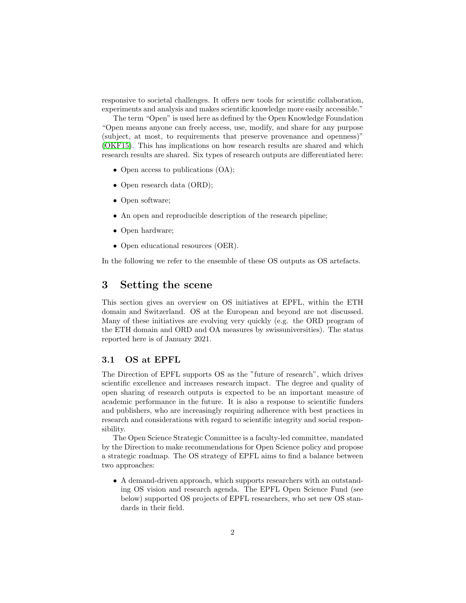responsive to societal challenges. It offers new tools for scientific collaboration, experiments and analysis and makes scientific knowledge more easily accessible."

The term "Open" is used here as defined by the Open Knowledge Foundation "Open means anyone can freely access, use, modify, and share for any purpose (subject, at most, to requirements that preserve provenance and openness)" [\(OKF15\)](#page-12-1). This has implications on how research results are shared and which research results are shared. Six types of research outputs are differentiated here:

- Open access to publications  $(OA)$ ;
- Open research data (ORD);
- Open software;
- An open and reproducible description of the research pipeline;
- Open hardware;
- Open educational resources (OER).

In the following we refer to the ensemble of these OS outputs as OS artefacts.

### 3 Setting the scene

This section gives an overview on OS initiatives at EPFL, within the ETH domain and Switzerland. OS at the European and beyond are not discussed. Many of these initiatives are evolving very quickly (e.g. the ORD program of the ETH domain and ORD and OA measures by swissuniversities). The status reported here is of January 2021.

#### 3.1 OS at EPFL

The Direction of EPFL supports OS as the "future of research", which drives scientific excellence and increases research impact. The degree and quality of open sharing of research outputs is expected to be an important measure of academic performance in the future. It is also a response to scientific funders and publishers, who are increasingly requiring adherence with best practices in research and considerations with regard to scientific integrity and social responsibility.

The Open Science Strategic Committee is a faculty-led committee, mandated by the Direction to make recommendations for Open Science policy and propose a strategic roadmap. The OS strategy of EPFL aims to find a balance between two approaches:

• A demand-driven approach, which supports researchers with an outstanding OS vision and research agenda. The EPFL Open Science Fund (see below) supported OS projects of EPFL researchers, who set new OS standards in their field.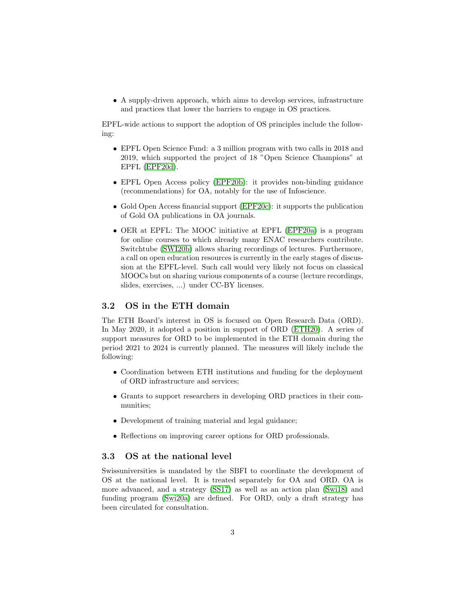• A supply-driven approach, which aims to develop services, infrastructure and practices that lower the barriers to engage in OS practices.

EPFL-wide actions to support the adoption of OS principles include the following:

- EPFL Open Science Fund: a 3 million program with two calls in 2018 and 2019, which supported the project of 18 "Open Science Champions" at EPFL [\(EPF20d\)](#page-12-2).
- EPFL Open Access policy [\(EPF20b\)](#page-12-3): it provides non-binding guidance (recommendations) for OA, notably for the use of Infoscience.
- Gold Open Access financial support [\(EPF20c\)](#page-12-4): it supports the publication of Gold OA publications in OA journals.
- OER at EPFL: The MOOC initiative at EPFL [\(EPF20a\)](#page-12-5) is a program for online courses to which already many ENAC researchers contribute. Switchtube [\(SWI20b\)](#page-13-0) allows sharing recordings of lectures. Furthermore, a call on open education resources is currently in the early stages of discussion at the EPFL-level. Such call would very likely not focus on classical MOOCs but on sharing various components of a course (lecture recordings, slides, exercises, ...) under CC-BY licenses.

#### 3.2 OS in the ETH domain

The ETH Board's interest in OS is focused on Open Research Data (ORD). In May 2020, it adopted a position in support of ORD [\(ETH20\)](#page-12-6). A series of support measures for ORD to be implemented in the ETH domain during the period 2021 to 2024 is currently planned. The measures will likely include the following:

- Coordination between ETH institutions and funding for the deployment of ORD infrastructure and services;
- Grants to support researchers in developing ORD practices in their communities;
- Development of training material and legal guidance;
- Reflections on improving career options for ORD professionals.

#### 3.3 OS at the national level

Swissuniversities is mandated by the SBFI to coordinate the development of OS at the national level. It is treated separately for OA and ORD. OA is more advanced, and a strategy [\(SS17\)](#page-13-1) as well as an action plan [\(Swi18\)](#page-13-2) and funding program [\(Swi20a\)](#page-13-3) are defined. For ORD, only a draft strategy has been circulated for consultation.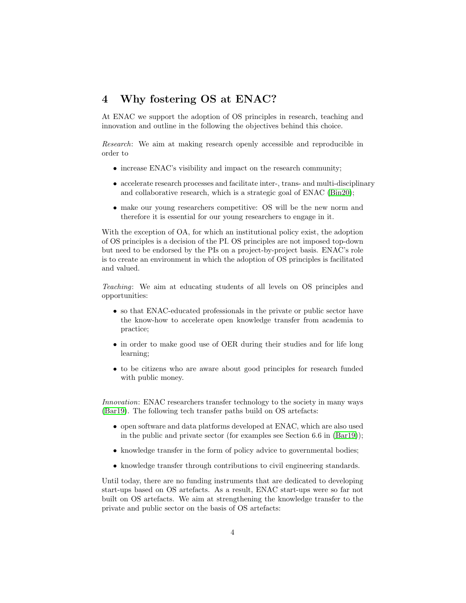## 4 Why fostering OS at ENAC?

At ENAC we support the adoption of OS principles in research, teaching and innovation and outline in the following the objectives behind this choice.

Research: We aim at making research openly accessible and reproducible in order to

- increase ENAC's visibility and impact on the research community;
- accelerate research processes and facilitate inter-, trans- and multi-disciplinary and collaborative research, which is a strategic goal of ENAC [\(Bin20\)](#page-12-7);
- make our young researchers competitive: OS will be the new norm and therefore it is essential for our young researchers to engage in it.

With the exception of OA, for which an institutional policy exist, the adoption of OS principles is a decision of the PI. OS principles are not imposed top-down but need to be endorsed by the PIs on a project-by-project basis. ENAC's role is to create an environment in which the adoption of OS principles is facilitated and valued.

Teaching: We aim at educating students of all levels on OS principles and opportunities:

- so that ENAC-educated professionals in the private or public sector have the know-how to accelerate open knowledge transfer from academia to practice;
- in order to make good use of OER during their studies and for life long learning;
- to be citizens who are aware about good principles for research funded with public money.

Innovation: ENAC researchers transfer technology to the society in many ways [\(Bar19\)](#page-12-8). The following tech transfer paths build on OS artefacts:

- open software and data platforms developed at ENAC, which are also used in the public and private sector (for examples see Section 6.6 in [\(Bar19\)](#page-12-8));
- knowledge transfer in the form of policy advice to governmental bodies;
- knowledge transfer through contributions to civil engineering standards.

Until today, there are no funding instruments that are dedicated to developing start-ups based on OS artefacts. As a result, ENAC start-ups were so far not built on OS artefacts. We aim at strengthening the knowledge transfer to the private and public sector on the basis of OS artefacts: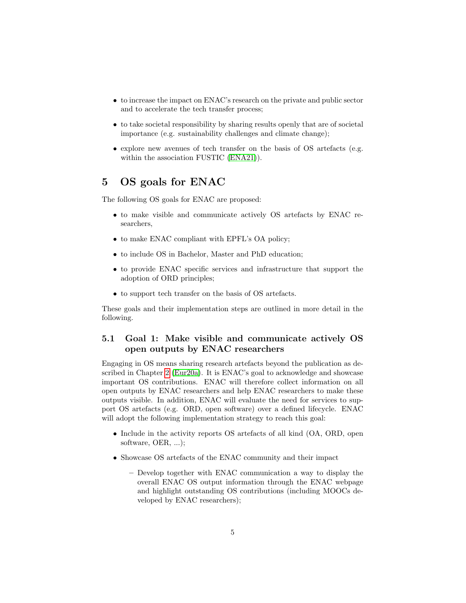- to increase the impact on ENAC's research on the private and public sector and to accelerate the tech transfer process;
- to take societal responsibility by sharing results openly that are of societal importance (e.g. sustainability challenges and climate change);
- explore new avenues of tech transfer on the basis of OS artefacts (e.g. within the association FUSTIC [\(ENA21\)](#page-12-9)).

## 5 OS goals for ENAC

The following OS goals for ENAC are proposed:

- to make visible and communicate actively OS artefacts by ENAC researchers,
- to make ENAC compliant with EPFL's OA policy;
- to include OS in Bachelor, Master and PhD education;
- to provide ENAC specific services and infrastructure that support the adoption of ORD principles;
- to support tech transfer on the basis of OS artefacts.

These goals and their implementation steps are outlined in more detail in the following.

### 5.1 Goal 1: Make visible and communicate actively OS open outputs by ENAC researchers

Engaging in OS means sharing research artefacts beyond the publication as described in Chapter [2](#page-0-0) [\(Eur20a\)](#page-12-10). It is ENAC's goal to acknowledge and showcase important OS contributions. ENAC will therefore collect information on all open outputs by ENAC researchers and help ENAC researchers to make these outputs visible. In addition, ENAC will evaluate the need for services to support OS artefacts (e.g. ORD, open software) over a defined lifecycle. ENAC will adopt the following implementation strategy to reach this goal:

- Include in the activity reports OS artefacts of all kind (OA, ORD, open software, OER, ...);
- Showcase OS artefacts of the ENAC community and their impact
	- Develop together with ENAC communication a way to display the overall ENAC OS output information through the ENAC webpage and highlight outstanding OS contributions (including MOOCs developed by ENAC researchers);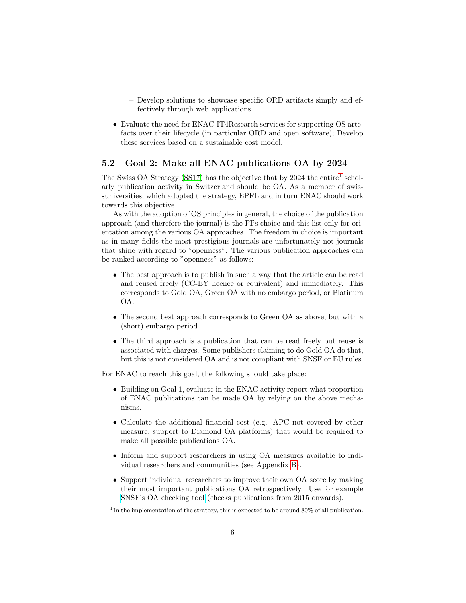- Develop solutions to showcase specific ORD artifacts simply and effectively through web applications.
- Evaluate the need for ENAC-IT4Research services for supporting OS artefacts over their lifecycle (in particular ORD and open software); Develop these services based on a sustainable cost model.

#### 5.2 Goal 2: Make all ENAC publications OA by 2024

The Swiss OA Strategy [\(SS17\)](#page-13-1) has the objective that by 2024 the entire<sup>[1](#page-5-0)</sup> scholarly publication activity in Switzerland should be OA. As a member of swissuniversities, which adopted the strategy, EPFL and in turn ENAC should work towards this objective.

As with the adoption of OS principles in general, the choice of the publication approach (and therefore the journal) is the PI's choice and this list only for orientation among the various OA approaches. The freedom in choice is important as in many fields the most prestigious journals are unfortunately not journals that shine with regard to "openness". The various publication approaches can be ranked according to "openness" as follows:

- The best approach is to publish in such a way that the article can be read and reused freely (CC-BY licence or equivalent) and immediately. This corresponds to Gold OA, Green OA with no embargo period, or Platinum OA.
- The second best approach corresponds to Green OA as above, but with a (short) embargo period.
- The third approach is a publication that can be read freely but reuse is associated with charges. Some publishers claiming to do Gold OA do that, but this is not considered OA and is not compliant with SNSF or EU rules.

For ENAC to reach this goal, the following should take place:

- Building on Goal 1, evaluate in the ENAC activity report what proportion of ENAC publications can be made OA by relying on the above mechanisms.
- Calculate the additional financial cost (e.g. APC not covered by other measure, support to Diamond OA platforms) that would be required to make all possible publications OA.
- Inform and support researchers in using OA measures available to individual researchers and communities (see Appendix [B\)](#page-14-0).
- Support individual researchers to improve their own OA score by making their most important publications OA retrospectively. Use for example [SNSF's OA checking tool](http://www.snsf-oa-check.ch/) (checks publications from 2015 onwards).

<span id="page-5-0"></span><sup>&</sup>lt;sup>1</sup>In the implementation of the strategy, this is expected to be around 80% of all publication.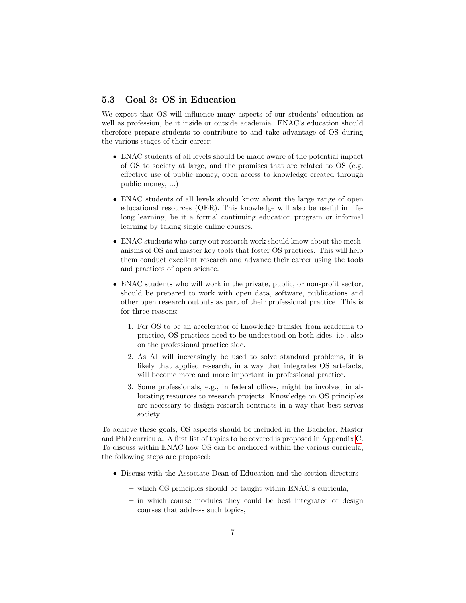#### 5.3 Goal 3: OS in Education

We expect that OS will influence many aspects of our students' education as well as profession, be it inside or outside academia. ENAC's education should therefore prepare students to contribute to and take advantage of OS during the various stages of their career:

- ENAC students of all levels should be made aware of the potential impact of OS to society at large, and the promises that are related to OS (e.g. effective use of public money, open access to knowledge created through public money, ...)
- ENAC students of all levels should know about the large range of open educational resources (OER). This knowledge will also be useful in lifelong learning, be it a formal continuing education program or informal learning by taking single online courses.
- ENAC students who carry out research work should know about the mechanisms of OS and master key tools that foster OS practices. This will help them conduct excellent research and advance their career using the tools and practices of open science.
- ENAC students who will work in the private, public, or non-profit sector, should be prepared to work with open data, software, publications and other open research outputs as part of their professional practice. This is for three reasons:
	- 1. For OS to be an accelerator of knowledge transfer from academia to practice, OS practices need to be understood on both sides, i.e., also on the professional practice side.
	- 2. As AI will increasingly be used to solve standard problems, it is likely that applied research, in a way that integrates OS artefacts, will become more and more important in professional practice.
	- 3. Some professionals, e.g., in federal offices, might be involved in allocating resources to research projects. Knowledge on OS principles are necessary to design research contracts in a way that best serves society.

To achieve these goals, OS aspects should be included in the Bachelor, Master and PhD curricula. A first list of topics to be covered is proposed in Appendix [C.](#page-14-1) To discuss within ENAC how OS can be anchored within the various curricula, the following steps are proposed:

- Discuss with the Associate Dean of Education and the section directors
	- which OS principles should be taught within ENAC's curricula,
	- in which course modules they could be best integrated or design courses that address such topics,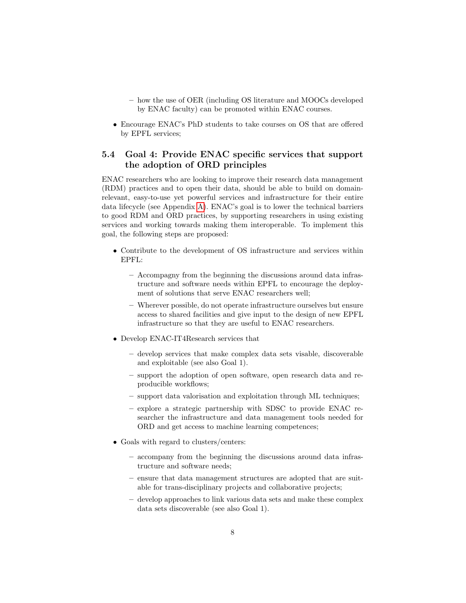- how the use of OER (including OS literature and MOOCs developed by ENAC faculty) can be promoted within ENAC courses.
- Encourage ENAC's PhD students to take courses on OS that are offered by EPFL services;

### 5.4 Goal 4: Provide ENAC specific services that support the adoption of ORD principles

ENAC researchers who are looking to improve their research data management (RDM) practices and to open their data, should be able to build on domainrelevant, easy-to-use yet powerful services and infrastructure for their entire data lifecycle (see Appendix [A\)](#page-13-4). ENAC's goal is to lower the technical barriers to good RDM and ORD practices, by supporting researchers in using existing services and working towards making them interoperable. To implement this goal, the following steps are proposed:

- Contribute to the development of OS infrastructure and services within EPFL:
	- Accompagny from the beginning the discussions around data infrastructure and software needs within EPFL to encourage the deployment of solutions that serve ENAC researchers well;
	- Wherever possible, do not operate infrastructure ourselves but ensure access to shared facilities and give input to the design of new EPFL infrastructure so that they are useful to ENAC researchers.
- Develop ENAC-IT4Research services that
	- develop services that make complex data sets visable, discoverable and exploitable (see also Goal 1).
	- support the adoption of open software, open research data and reproducible workflows;
	- support data valorisation and exploitation through ML techniques;
	- explore a strategic partnership with SDSC to provide ENAC researcher the infrastructure and data management tools needed for ORD and get access to machine learning competences;
- Goals with regard to clusters/centers:
	- accompany from the beginning the discussions around data infrastructure and software needs;
	- ensure that data management structures are adopted that are suitable for trans-disciplinary projects and collaborative projects;
	- develop approaches to link various data sets and make these complex data sets discoverable (see also Goal 1).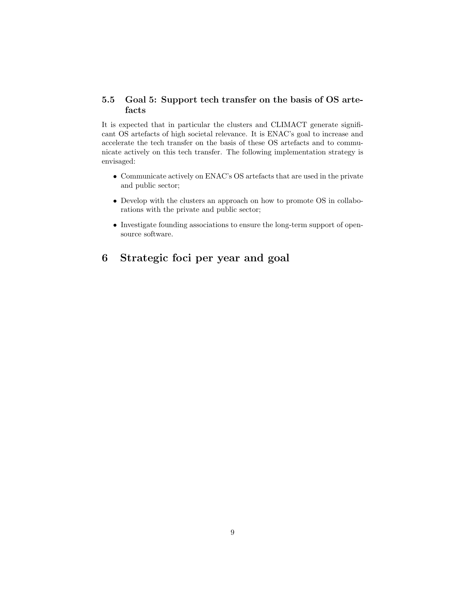#### 5.5 Goal 5: Support tech transfer on the basis of OS artefacts

It is expected that in particular the clusters and CLIMACT generate significant OS artefacts of high societal relevance. It is ENAC's goal to increase and accelerate the tech transfer on the basis of these OS artefacts and to communicate actively on this tech transfer. The following implementation strategy is envisaged:

- Communicate actively on ENAC's OS artefacts that are used in the private and public sector;
- Develop with the clusters an approach on how to promote OS in collaborations with the private and public sector;
- Investigate founding associations to ensure the long-term support of opensource software.

## 6 Strategic foci per year and goal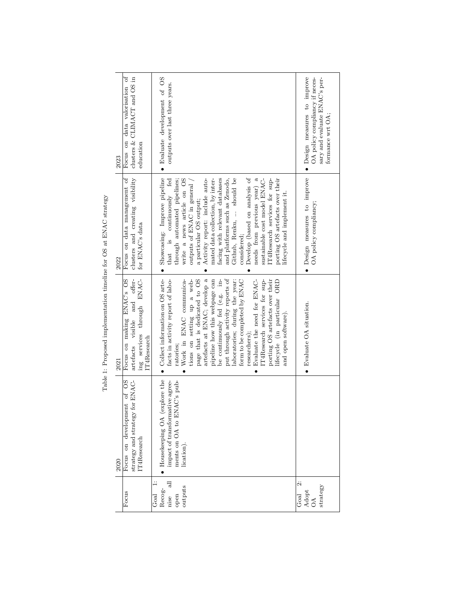| Focus on data valorisation of<br>clusters & CLIMACT and OS in<br>education<br>2023                            | • Evaluate development of OS<br>outputs over last three years.                                                                                                                                                                                                                                                                                                                                                                                                                                                                                                                           | · Design measures to improve<br>OA policy compliancy if neces-<br>sary and evaluate ENAC's per-<br>formance wrt OA; |
|---------------------------------------------------------------------------------------------------------------|------------------------------------------------------------------------------------------------------------------------------------------------------------------------------------------------------------------------------------------------------------------------------------------------------------------------------------------------------------------------------------------------------------------------------------------------------------------------------------------------------------------------------------------------------------------------------------------|---------------------------------------------------------------------------------------------------------------------|
| clusters and creating visibility<br>Focus on data management of<br>for ENAC's data<br>2022                    | · Showcasing: Improve pipeline<br>Develop (based on analysis of<br>facing with relevant databases<br>and platforms such as Zenodo,<br>Github, Renku,  should be<br>needs from previous year) a<br>that is continuously fed<br>through automated pipelines;<br>mated data collection, by inter-<br>sustainable cost model ENAC-<br>porting OS artefacts over their<br>write a news article on OS<br>Activity report: include auto-<br>IT4Research services for sup-<br>outputs of ENAC in general<br>lifecycle and implement it.<br>a particular OS output;<br>considered:                | · Design measures to improve<br>OA policy compliancy;                                                               |
| artefacts visible and offer-<br>Focus on making ENAC's OS<br>ing services through ENAC-<br>T4Research<br>2021 | • Collect information on OS arte-<br>artefacts at ENAC; develop a<br>put through activity reports of<br>pipeline how this webpage can<br>be continuously fed (e.g. in-<br>page that is dedicated to OS<br>tions on setting up a web-<br>porting OS artefacts over their<br>facts in activity report of labo-<br>Work in ENAC communica-<br>laboratories; during the year:<br>Evaluate the need for ENAC-<br>lifecycle (in particular ORD<br>form to be completed by ENAC<br>IT4Research services for sup-<br>and open software).<br>researchers);<br>ratories;<br>$\bullet$<br>$\bullet$ | $\bullet$ Evaluate OA situation.                                                                                    |
| strategy and strategy for ENAC-<br>Focus on development of OS<br>IT4Research<br>2020                          | explore the<br>impact of transformative agree-<br>ments on OA to ENAC's pub-<br>Housekeeping OA<br>lication).                                                                                                                                                                                                                                                                                                                                                                                                                                                                            |                                                                                                                     |
| Focus                                                                                                         | 듾<br>outputs<br>Recog-<br>$_{\rm{Goal}}$<br>open<br>nise                                                                                                                                                                                                                                                                                                                                                                                                                                                                                                                                 | ä<br>strategy<br>$\begin{array}{c}\n\text{Adopt} \\ \text{OA}\n\end{array}$<br>$_{\rm{Goal}}$                       |

Table 1: Proposed implementation timeline for OS at ENAC strategy Table 1: Proposed implementation timeline for OS at ENAC strategy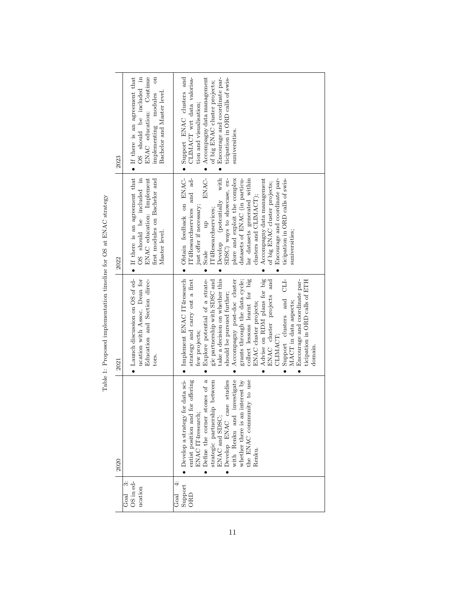| 2023 | $\bullet$ If there is an agreement that<br>ENAC education: Continue<br>OS should be included in<br>$\sin$<br>Bachelor and Master level.<br>implementing modules | $\bullet$ Accompagny data management<br>• Support ENAC clusters and<br>CLIMACT wrt data valorisa-<br>Encourage and coordinate par-<br>ticipation in ORD calls of swis-<br>of big ENAC cluster projects;<br>tion and visualisation;<br>suniversities.                                                                                                                                                                                                                                                                                                                                               |
|------|-----------------------------------------------------------------------------------------------------------------------------------------------------------------|----------------------------------------------------------------------------------------------------------------------------------------------------------------------------------------------------------------------------------------------------------------------------------------------------------------------------------------------------------------------------------------------------------------------------------------------------------------------------------------------------------------------------------------------------------------------------------------------------|
| 2022 | $\bullet$ If there is an agreement that<br>OS should be included in<br>ENAC education: Implement<br>first modules on Bachelor and<br>Master level.              | ENAC-<br>Develop (potentially with<br>· Obtain feedback on ENAC-<br>IT4Researchservices and ad-<br>plore and exploit the complex<br>Accompagny data management<br>SDSC) ways to showcase, ex-<br>datasets of ENAC (in particu-<br>lar datasets generated within<br>Encourage and coordinate par-<br>ticipation in ORD calls of swis-<br>of big ENAC cluster projects;<br>clusters and CLIMACT);<br>just offer if necessary;<br>IT4Researchservices;<br>$\frac{1}{2}$<br>suniversities;<br>Scale<br>$\bullet$<br>$\bullet$<br>$\bullet$                                                             |
| 2021 | • Launch discussion on OS of ed-<br>ucation with Assoc. Dean for<br>Education and Section direc-<br>tors.                                                       | Advise on RDM plans for big<br>• Implement ENAC IT4research<br>Explore potential of a strate-<br>take a decision on whether this<br>collect lessons learnt for big<br>strategy and carry out a first<br>$\overline{d}$<br>gic partnership with SDSC and<br>Accompagny post-doc cluster<br>ENAC cluster projects and<br>Encourage and coordinate par-<br>grants through the data cycle;<br>ticipation in ORD calls of ETH<br>should be pursued further;<br>Support clusters and<br>ENAC cluster projects;<br>MACT in data aspects;<br>few projects;<br>CLIMACT:<br>domain<br>$\bullet$<br>$\bullet$ |
| 2020 |                                                                                                                                                                 | for data sci-<br>for offering<br>the ENAC community to use<br>$\begin{tabular}{ll} \textbf{Define the corner stones of astrategies partnership betweenENAC and SDSC;}\\ \textbf{D} (A) & \text{D} (B) & \text{D} (B)\\ \textbf{D} (C) & \text{D} (D) & \text{D} (D)\\ \textbf{D} (D) & \text{D} (D) & \text{D} (D)\\ \textbf{D} (D) & \text{D} (D) & \text{D} (D)\\ \textbf{D} (D) & \text{D} (D) & \text{D} (D)\\ \textbf{D} (D) & \text{D} (D) & \text{D} (D)\\ \textbf{D} (D) & \text{D} (D) &$<br>entist position and<br>ENAC IT4research;<br>$\bullet$ Develop a strategy<br>Renku.           |
|      | OS in ed-<br>$\ddot{\circ}$<br>ucation<br>Goal                                                                                                                  | $\ddot{ }$<br>Support<br>$_{\rm{cod}}$<br>ORD                                                                                                                                                                                                                                                                                                                                                                                                                                                                                                                                                      |

Table 1: Proposed implementation timeline for OS at ENAC strategy Table 1: Proposed implementation timeline for OS at ENAC strategy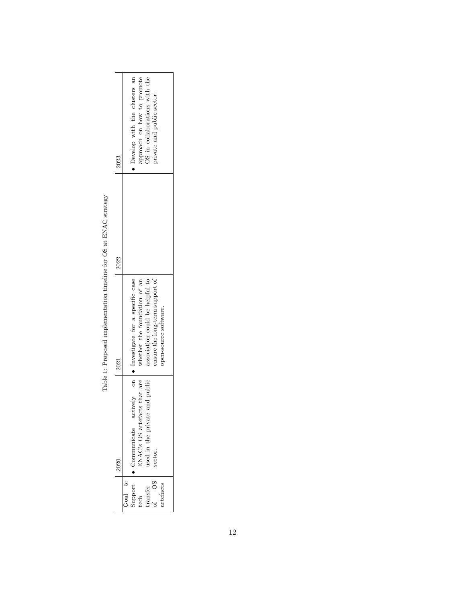| 2023 | approach on how to promote<br>• Develop with the clusters an<br>OS in collaborations with the<br>private and public sector.                                                         |
|------|-------------------------------------------------------------------------------------------------------------------------------------------------------------------------------------|
| 2022 |                                                                                                                                                                                     |
| 2021 | actively on $\bullet$ Investigate for a specific case<br>association could be helpful to<br>whether the foundation of an<br>nsure the long-term support of<br>open-source software. |
| 2020 | INAC's OS artefacts that are<br>and public<br>used in the private<br>Communicate<br>sector.                                                                                         |
|      | upport<br>ೊ<br>ನಡ<br>rtefacts<br>transfer<br>of OS<br>ech                                                                                                                           |

Table 1: Proposed implementation timeline for OS at ENAC strategy Table 1: Proposed implementation timeline for OS at ENAC strategy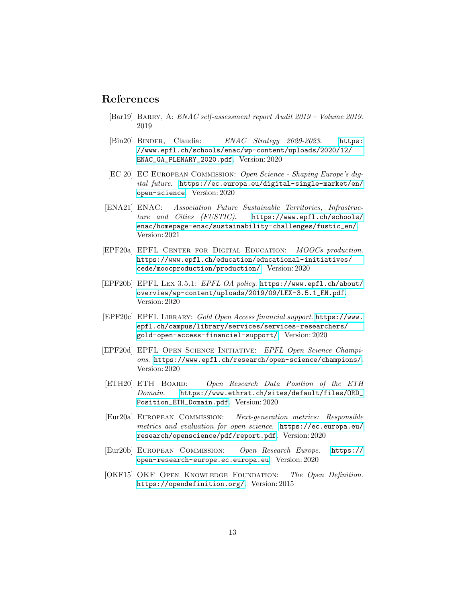### References

- <span id="page-12-8"></span>[Bar19] BARRY, A: ENAC self-assessment report Audit 2019 – Volume 2019. 2019
- <span id="page-12-7"></span>[Bin20] BINDER, Claudia: ENAC Strategy 2020-2023. [https:](https://www.epfl.ch/schools/enac/wp-content/uploads/2020/12/ENAC_GA_PLENARY_2020.pdf) [//www.epfl.ch/schools/enac/wp-content/uploads/2020/12/](https://www.epfl.ch/schools/enac/wp-content/uploads/2020/12/ENAC_GA_PLENARY_2020.pdf) [ENAC\\_GA\\_PLENARY\\_2020.pdf](https://www.epfl.ch/schools/enac/wp-content/uploads/2020/12/ENAC_GA_PLENARY_2020.pdf). Version: 2020
- <span id="page-12-0"></span>[EC 20] EC European Commission: Open Science - Shaping Europe's digital future. [https://ec.europa.eu/digital-single-market/en/](https://ec.europa.eu/digital-single-market/en/open-science) [open-science](https://ec.europa.eu/digital-single-market/en/open-science). Version: 2020
- <span id="page-12-9"></span>[ENA21] ENAC: Association Future Sustainable Territories, Infrastructure and Cities (FUSTIC). [https://www.epfl.ch/schools/](https://www.epfl.ch/schools/enac/homepage-enac/sustainability-challenges/fustic_en/) [enac/homepage-enac/sustainability-challenges/fustic\\_en/](https://www.epfl.ch/schools/enac/homepage-enac/sustainability-challenges/fustic_en/). Version: 2021
- <span id="page-12-5"></span>[EPF20a] EPFL Center for Digital Education: MOOCs production. [https://www.epfl.ch/education/educational-initiatives/](https://www.epfl.ch/education/educational-initiatives/cede/moocproduction/production/) [cede/moocproduction/production/](https://www.epfl.ch/education/educational-initiatives/cede/moocproduction/production/). Version: 2020
- <span id="page-12-3"></span>[EPF20b] EPFL Lex 3.5.1: EPFL OA policy. [https://www.epfl.ch/about/](https://www.epfl.ch/about/overview/wp-content/uploads/2019/09/LEX-3.5.1_EN.pdf) [overview/wp-content/uploads/2019/09/LEX-3.5.1\\_EN.pdf](https://www.epfl.ch/about/overview/wp-content/uploads/2019/09/LEX-3.5.1_EN.pdf). Version: 2020
- <span id="page-12-4"></span>[EPF20c] EPFL Library: Gold Open Access financial support. [https://www.](https://www.epfl.ch/campus/library/services/services-researchers/gold-open-access-financiel-support/) [epfl.ch/campus/library/services/services-researchers/](https://www.epfl.ch/campus/library/services/services-researchers/gold-open-access-financiel-support/) [gold-open-access-financiel-support/](https://www.epfl.ch/campus/library/services/services-researchers/gold-open-access-financiel-support/). Version: 2020
- <span id="page-12-2"></span>[EPF20d] EPFL Open Science Initiative: EPFL Open Science Champions. <https://www.epfl.ch/research/open-science/champions/>. Version: 2020
- <span id="page-12-6"></span>[ETH20] ETH Board: Open Research Data Position of the ETH Domain. [https://www.ethrat.ch/sites/default/files/ORD\\_](https://www.ethrat.ch/sites/default/files/ORD_Position_ETH_Domain.pdf) [Position\\_ETH\\_Domain.pdf](https://www.ethrat.ch/sites/default/files/ORD_Position_ETH_Domain.pdf). Version: 2020
- <span id="page-12-10"></span>[Eur20a] European Commission: Next-generation metrics: Responsible metrics and evaluation for open science. [https://ec.europa.eu/](https://ec.europa.eu/research/openscience/pdf/report.pdf) [research/openscience/pdf/report.pdf](https://ec.europa.eu/research/openscience/pdf/report.pdf). Version: 2020
- <span id="page-12-11"></span>[Eur20b] European Commission: Open Research Europe. [https://](https://open-research-europe.ec.europa.eu) [open-research-europe.ec.europa.eu](https://open-research-europe.ec.europa.eu). Version: 2020
- <span id="page-12-1"></span>[OKF15] OKF Open Knowledge Foundation: The Open Definition. <https://opendefinition.org/>. Version: 2015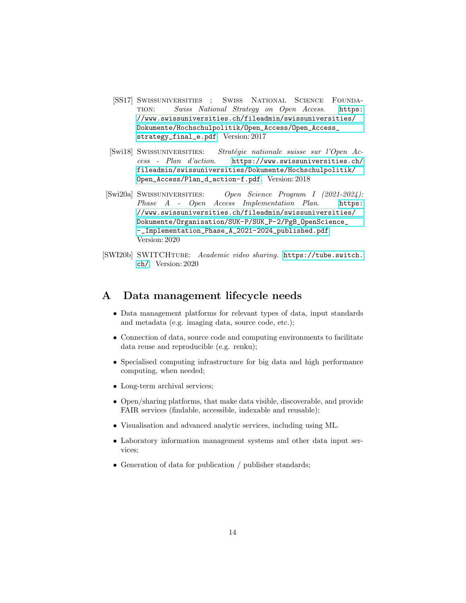- <span id="page-13-1"></span>[SS17] Swissuniversities ; Swiss National Science Foundation: Swiss National Strategy on Open Access. [https:](https://www.swissuniversities.ch/fileadmin/swissuniversities/Dokumente/Hochschulpolitik/Open_Access/Open_Access_strategy_final_e.pdf) [//www.swissuniversities.ch/fileadmin/swissuniversities/](https://www.swissuniversities.ch/fileadmin/swissuniversities/Dokumente/Hochschulpolitik/Open_Access/Open_Access_strategy_final_e.pdf) [Dokumente/Hochschulpolitik/Open\\_Access/Open\\_Access\\_](https://www.swissuniversities.ch/fileadmin/swissuniversities/Dokumente/Hochschulpolitik/Open_Access/Open_Access_strategy_final_e.pdf) [strategy\\_final\\_e.pdf](https://www.swissuniversities.ch/fileadmin/swissuniversities/Dokumente/Hochschulpolitik/Open_Access/Open_Access_strategy_final_e.pdf). Version: 2017
- <span id="page-13-2"></span>[Swi18] SWISSUNIVERSITIES: Stratégie nationale suisse sur l'Open Access - Plan d'action. [https://www.swissuniversities.ch/](https://www.swissuniversities.ch/fileadmin/swissuniversities/Dokumente/Hochschulpolitik/Open_Access/Plan_d_action-f.pdf) [fileadmin/swissuniversities/Dokumente/Hochschulpolitik/](https://www.swissuniversities.ch/fileadmin/swissuniversities/Dokumente/Hochschulpolitik/Open_Access/Plan_d_action-f.pdf) [Open\\_Access/Plan\\_d\\_action-f.pdf](https://www.swissuniversities.ch/fileadmin/swissuniversities/Dokumente/Hochschulpolitik/Open_Access/Plan_d_action-f.pdf). Version: 2018
- <span id="page-13-3"></span>[Swi20a] Swissuniversities: Open Science Program I (2021-2024): Phase A - Open Access Implementation Plan. [https:](https://www.swissuniversities.ch/fileadmin/swissuniversities/Dokumente/Organisation/SUK-P/SUK_P-2/PgB_OpenScience_-_Implementation_Phase_A_2021-2024_published.pdf) [//www.swissuniversities.ch/fileadmin/swissuniversities/](https://www.swissuniversities.ch/fileadmin/swissuniversities/Dokumente/Organisation/SUK-P/SUK_P-2/PgB_OpenScience_-_Implementation_Phase_A_2021-2024_published.pdf) [Dokumente/Organisation/SUK-P/SUK\\_P-2/PgB\\_OpenScience\\_](https://www.swissuniversities.ch/fileadmin/swissuniversities/Dokumente/Organisation/SUK-P/SUK_P-2/PgB_OpenScience_-_Implementation_Phase_A_2021-2024_published.pdf) [-\\_Implementation\\_Phase\\_A\\_2021-2024\\_published.pdf](https://www.swissuniversities.ch/fileadmin/swissuniversities/Dokumente/Organisation/SUK-P/SUK_P-2/PgB_OpenScience_-_Implementation_Phase_A_2021-2024_published.pdf). Version: 2020
- <span id="page-13-0"></span>[SWI20b] SWITCHTUBE: Academic video sharing. [https://tube.switch.](https://tube.switch.ch/) [ch/](https://tube.switch.ch/). Version: 2020

### <span id="page-13-4"></span>A Data management lifecycle needs

- Data management platforms for relevant types of data, input standards and metadata (e.g. imaging data, source code, etc.);
- Connection of data, source code and computing environments to facilitate data reuse and reproducible (e.g. renku);
- Specialised computing infrastructure for big data and high performance computing, when needed;
- Long-term archival services;
- Open/sharing platforms, that make data visible, discoverable, and provide FAIR services (findable, accessible, indexable and reusable);
- Visualisation and advanced analytic services, including using ML.
- Laboratory information management systems and other data input services;
- Generation of data for publication / publisher standards;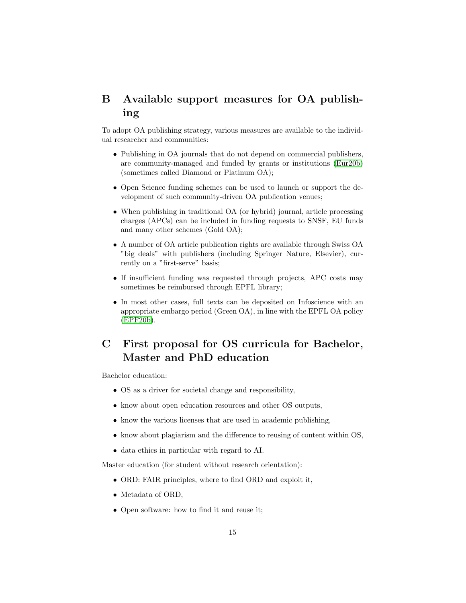## <span id="page-14-0"></span>B Available support measures for OA publishing

To adopt OA publishing strategy, various measures are available to the individual researcher and communities:

- Publishing in OA journals that do not depend on commercial publishers, are community-managed and funded by grants or institutions [\(Eur20b\)](#page-12-11) (sometimes called Diamond or Platinum OA);
- Open Science funding schemes can be used to launch or support the development of such community-driven OA publication venues;
- When publishing in traditional OA (or hybrid) journal, article processing charges (APCs) can be included in funding requests to SNSF, EU funds and many other schemes (Gold OA);
- A number of OA article publication rights are available through Swiss OA "big deals" with publishers (including Springer Nature, Elsevier), currently on a "first-serve" basis;
- If insufficient funding was requested through projects, APC costs may sometimes be reimbursed through EPFL library;
- In most other cases, full texts can be deposited on Infoscience with an appropriate embargo period (Green OA), in line with the EPFL OA policy [\(EPF20b\)](#page-12-3).

# <span id="page-14-1"></span>C First proposal for OS curricula for Bachelor, Master and PhD education

Bachelor education:

- OS as a driver for societal change and responsibility,
- know about open education resources and other OS outputs,
- know the various licenses that are used in academic publishing,
- know about plagiarism and the difference to reusing of content within OS,
- data ethics in particular with regard to AI.

Master education (for student without research orientation):

- ORD: FAIR principles, where to find ORD and exploit it,
- Metadata of ORD,
- Open software: how to find it and reuse it;